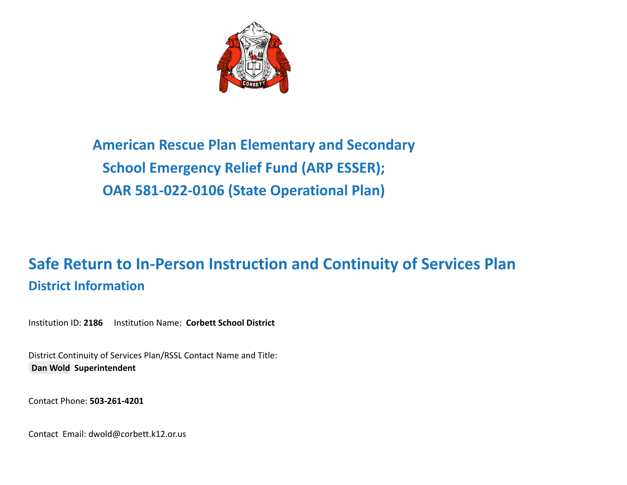

**American Rescue Plan Elementary and Secondary School Emergency Relief Fund (ARP ESSER); OAR 581-022-0106 (State Operational Plan)**

# **Safe Return to In-Person Instruction and Continuity of Services Plan District Information**

Institution ID: **2186** Institution Name: **Corbett School District**

District Continuity of Services Plan/RSSL Contact Name and Title: **[Dan Wold](mailto:dwold@corbett.k12.or.us) Superintendent**

Contact Phone: **503-261-4201**

Contact Email: dwold@corbett.k12.or.us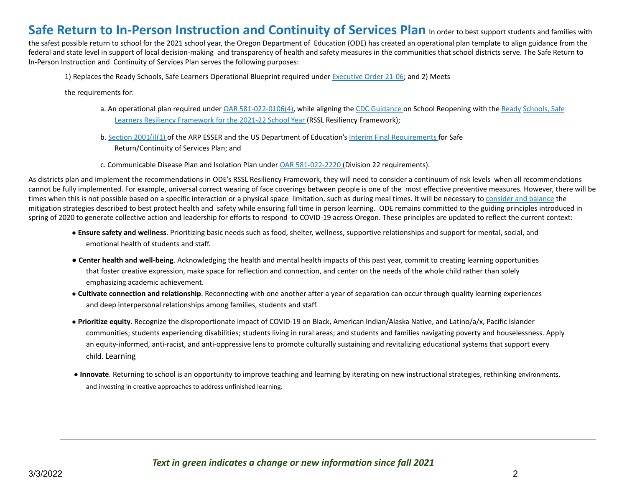## **Safe Return to In-Person Instruction and Continuity of Services Plan** In order to best support students and families with

the safest possible return to school for the 2021 school year, the Oregon Department of Education (ODE) has created an operational plan template to align guidance from the federal and state level in support of local decision-making and transparency of health and safety measures in the communities that school districts serve. The Safe Return to In-Person Instruction and Continuity of Services Plan serves the following purposes:

1) Replaces the Ready Schools, Safe Learners Operational Blueprint required under Executive Order 21-06; and 2) Meets

the requirements for:

- a. An operational plan required under OAR 581-022-0106(4), while aligning the CDC Guidance on School Reopening with the Ready Schools, Safe Learners Resiliency Framework for the 2021-22 School Year (RSSL Resiliency Framework);
- b. Section 2001(i)(1) of the ARP ESSER and the US Department of Education's Interim Final Requirements for Safe Return/Continuity of Services Plan; and
- c. Communicable Disease Plan and Isolation Plan under OAR 581-022-2220 (Division 22 requirements).

As districts plan and implement the recommendations in ODE's RSSL Resiliency Framework, they will need to consider a continuum of risk levels when all recommendations cannot be fully implemented. For example, universal correct wearing of face coverings between people is one of the most effective preventive measures. However, there will be times when this is not possible based on a specific interaction or a physical space limitation, such as during meal times. It will be necessary to consider and balance the mitigation strategies described to best protect health and safety while ensuring full time in person learning. ODE remains committed to the guiding principles introduced in spring of 2020 to generate collective action and leadership for efforts to respond to COVID-19 across Oregon. These principles are updated to reflect the current context:

- **Ensure safety and wellness**. Prioritizing basic needs such as food, shelter, wellness, supportive relationships and support for mental, social, and emotional health of students and staff.
- **Center health and well-being**. Acknowledging the health and mental health impacts of this past year, commit to creating learning opportunities that foster creative expression, make space for reflection and connection, and center on the needs of the whole child rather than solely emphasizing academic achievement.
- **Cultivate connection and relationship**. Reconnecting with one another after a year of separation can occur through quality learning experiences and deep interpersonal relationships among families, students and staff.
- **Prioritize equity**. Recognize the disproportionate impact of COVID-19 on Black, American Indian/Alaska Native, and Latino/a/x, Pacific Islander communities; students experiencing disabilities; students living in rural areas; and students and families navigating poverty and houselessness. Apply an equity-informed, anti-racist, and anti-oppressive lens to promote culturally sustaining and revitalizing educational systems that support every child. Learning
- **Innovate**. Returning to school is an opportunity to improve teaching and learning by iterating on new instructional strategies, rethinking environments, and investing in creative approaches to address unfinished learning.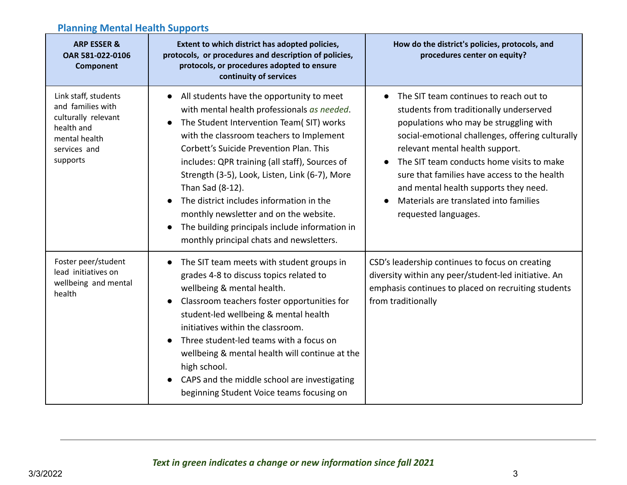## **Planning Mental Health Supports**

| <b>ARP ESSER &amp;</b><br>OAR 581-022-0106<br>Component                                                                     | Extent to which district has adopted policies,<br>protocols, or procedures and description of policies,<br>protocols, or procedures adopted to ensure<br>continuity of services                                                                                                                                                                                                                                                                                                                                                                       | How do the district's policies, protocols, and<br>procedures center on equity?                                                                                                                                                                                                                                                                                                                                                          |
|-----------------------------------------------------------------------------------------------------------------------------|-------------------------------------------------------------------------------------------------------------------------------------------------------------------------------------------------------------------------------------------------------------------------------------------------------------------------------------------------------------------------------------------------------------------------------------------------------------------------------------------------------------------------------------------------------|-----------------------------------------------------------------------------------------------------------------------------------------------------------------------------------------------------------------------------------------------------------------------------------------------------------------------------------------------------------------------------------------------------------------------------------------|
| Link staff, students<br>and families with<br>culturally relevant<br>health and<br>mental health<br>services and<br>supports | All students have the opportunity to meet<br>with mental health professionals as needed.<br>The Student Intervention Team( SIT) works<br>$\bullet$<br>with the classroom teachers to Implement<br>Corbett's Suicide Prevention Plan. This<br>includes: QPR training (all staff), Sources of<br>Strength (3-5), Look, Listen, Link (6-7), More<br>Than Sad (8-12).<br>The district includes information in the<br>monthly newsletter and on the website.<br>The building principals include information in<br>monthly principal chats and newsletters. | The SIT team continues to reach out to<br>$\bullet$<br>students from traditionally underserved<br>populations who may be struggling with<br>social-emotional challenges, offering culturally<br>relevant mental health support.<br>The SIT team conducts home visits to make<br>sure that families have access to the health<br>and mental health supports they need.<br>Materials are translated into families<br>requested languages. |
| Foster peer/student<br>lead initiatives on<br>wellbeing and mental<br>health                                                | The SIT team meets with student groups in<br>grades 4-8 to discuss topics related to<br>wellbeing & mental health.<br>Classroom teachers foster opportunities for<br>student-led wellbeing & mental health<br>initiatives within the classroom.<br>Three student-led teams with a focus on<br>wellbeing & mental health will continue at the<br>high school.<br>CAPS and the middle school are investigating<br>$\bullet$<br>beginning Student Voice teams focusing on                                                                                | CSD's leadership continues to focus on creating<br>diversity within any peer/student-led initiative. An<br>emphasis continues to placed on recruiting students<br>from traditionally                                                                                                                                                                                                                                                    |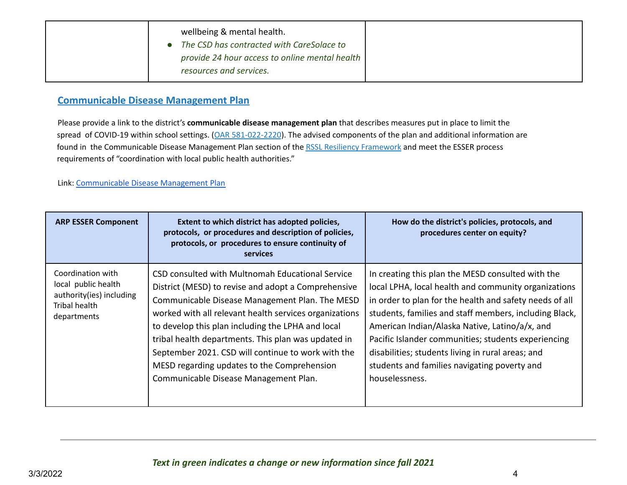| wellbeing & mental health.                     |
|------------------------------------------------|
| The CSD has contracted with CareSolace to      |
| provide 24 hour access to online mental health |
| resources and services.                        |

### **Communicable Disease Management Plan**

Please provide a link to the district's **communicable disease management plan** that describes measures put in place to limit the spread of COVID-19 within school settings. (OAR 581-022-2220). The advised components of the plan and additional information are found in the Communicable Disease Management Plan section of the RSSL Resiliency Framework and meet the ESSER process requirements of "coordination with local public health authorities."

#### Link: [Communicable](https://www.multnomahesd.org/uploads/1/2/0/2/120251715/cdmp-accessible.pdf) Disease Management Plan

| <b>ARP ESSER Component</b>                                                                           | Extent to which district has adopted policies,<br>protocols, or procedures and description of policies,<br>protocols, or procedures to ensure continuity of<br><b>services</b>                                                                                                                                                                                                                                                                                                | How do the district's policies, protocols, and<br>procedures center on equity?                                                                                                                                                                                                                                                                                                                                                                                 |
|------------------------------------------------------------------------------------------------------|-------------------------------------------------------------------------------------------------------------------------------------------------------------------------------------------------------------------------------------------------------------------------------------------------------------------------------------------------------------------------------------------------------------------------------------------------------------------------------|----------------------------------------------------------------------------------------------------------------------------------------------------------------------------------------------------------------------------------------------------------------------------------------------------------------------------------------------------------------------------------------------------------------------------------------------------------------|
| Coordination with<br>local public health<br>authority(ies) including<br>Tribal health<br>departments | CSD consulted with Multnomah Educational Service<br>District (MESD) to revise and adopt a Comprehensive<br>Communicable Disease Management Plan. The MESD<br>worked with all relevant health services organizations<br>to develop this plan including the LPHA and local<br>tribal health departments. This plan was updated in<br>September 2021. CSD will continue to work with the<br>MESD regarding updates to the Comprehension<br>Communicable Disease Management Plan. | In creating this plan the MESD consulted with the<br>local LPHA, local health and community organizations<br>in order to plan for the health and safety needs of all<br>students, families and staff members, including Black,<br>American Indian/Alaska Native, Latino/a/x, and<br>Pacific Islander communities; students experiencing<br>disabilities; students living in rural areas; and<br>students and families navigating poverty and<br>houselessness. |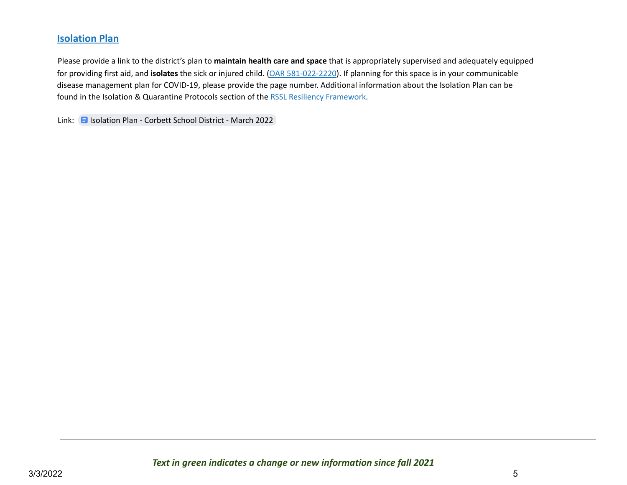## **Isolation Plan**

Please provide a link to the district's plan to **maintain health care and space** that is appropriately supervised and adequately equipped for providing first aid, and **isolates** the sick or injured child. (OAR 581-022-2220). If planning for this space is in your communicable disease management plan for COVID-19, please provide the page number. Additional information about the Isolation Plan can be found in the Isolation & Quarantine Protocols section of the RSSL Resiliency Framework.

Link: **E** [Isolation](https://docs.google.com/document/d/11JNrmFNnepwDu79k02PbxyZ70VanurrMlE1s4T5heJQ/edit?usp=sharing) Plan - Corbett School District - March 2022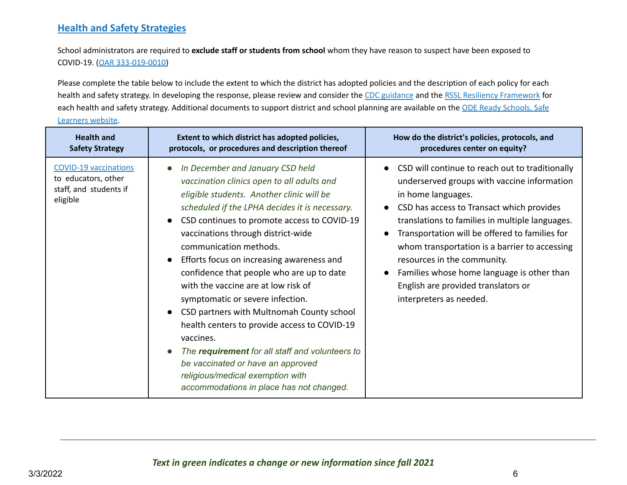## **Health and Safety Strategies**

School administrators are required to **exclude staff or students from school** whom they have reason to suspect have been exposed to COVID-19. (OAR 333-019-0010)

Please complete the table below to include the extent to which the district has adopted policies and the description of each policy for each health and safety strategy. In developing the response, please review and consider the CDC guidance and the RSSL Resiliency Framework for each health and safety strategy. Additional documents to support district and school planning are available on the ODE Ready Schools, Safe Learners website.

| <b>Health and</b>                                                                         | Extent to which district has adopted policies,                                                                                                                                                                                                                                                                                                                                                                                                                                                                                                                                                                                                                                                                                                      | How do the district's policies, protocols, and                                                                                                                                                                                                                                                                                                                                                                                                                         |
|-------------------------------------------------------------------------------------------|-----------------------------------------------------------------------------------------------------------------------------------------------------------------------------------------------------------------------------------------------------------------------------------------------------------------------------------------------------------------------------------------------------------------------------------------------------------------------------------------------------------------------------------------------------------------------------------------------------------------------------------------------------------------------------------------------------------------------------------------------------|------------------------------------------------------------------------------------------------------------------------------------------------------------------------------------------------------------------------------------------------------------------------------------------------------------------------------------------------------------------------------------------------------------------------------------------------------------------------|
| <b>Safety Strategy</b>                                                                    | protocols, or procedures and description thereof                                                                                                                                                                                                                                                                                                                                                                                                                                                                                                                                                                                                                                                                                                    | procedures center on equity?                                                                                                                                                                                                                                                                                                                                                                                                                                           |
| <b>COVID-19 vaccinations</b><br>to educators, other<br>staff, and students if<br>eligible | In December and January CSD held<br>vaccination clinics open to all adults and<br>eligible students. Another clinic will be<br>scheduled if the LPHA decides it is necessary.<br>CSD continues to promote access to COVID-19<br>vaccinations through district-wide<br>communication methods.<br>Efforts focus on increasing awareness and<br>confidence that people who are up to date<br>with the vaccine are at low risk of<br>symptomatic or severe infection.<br>CSD partners with Multnomah County school<br>health centers to provide access to COVID-19<br>vaccines.<br>The requirement for all staff and volunteers to<br>be vaccinated or have an approved<br>religious/medical exemption with<br>accommodations in place has not changed. | CSD will continue to reach out to traditionally<br>underserved groups with vaccine information<br>in home languages.<br>CSD has access to Transact which provides<br>translations to families in multiple languages.<br>Transportation will be offered to families for<br>whom transportation is a barrier to accessing<br>resources in the community.<br>Families whose home language is other than<br>English are provided translators or<br>interpreters as needed. |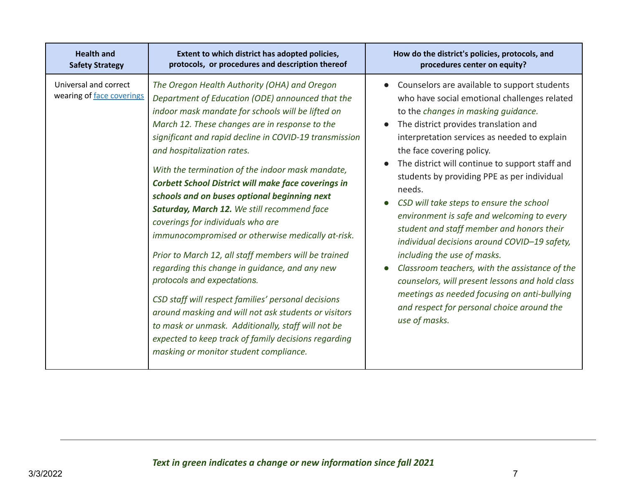| <b>Health and</b>                                  | Extent to which district has adopted policies,                                                                                                                                                                                                                                                                                                                                                                                                                                                                                                                                                                                                                                                                                                                                                                                                                                                                                                                                                                             | How do the district's policies, protocols, and                                                                                                                                                                                                                                                                                                                                                                                                                                                                                                                                                                                                                                                                                                                                                                  |
|----------------------------------------------------|----------------------------------------------------------------------------------------------------------------------------------------------------------------------------------------------------------------------------------------------------------------------------------------------------------------------------------------------------------------------------------------------------------------------------------------------------------------------------------------------------------------------------------------------------------------------------------------------------------------------------------------------------------------------------------------------------------------------------------------------------------------------------------------------------------------------------------------------------------------------------------------------------------------------------------------------------------------------------------------------------------------------------|-----------------------------------------------------------------------------------------------------------------------------------------------------------------------------------------------------------------------------------------------------------------------------------------------------------------------------------------------------------------------------------------------------------------------------------------------------------------------------------------------------------------------------------------------------------------------------------------------------------------------------------------------------------------------------------------------------------------------------------------------------------------------------------------------------------------|
| <b>Safety Strategy</b>                             | protocols, or procedures and description thereof                                                                                                                                                                                                                                                                                                                                                                                                                                                                                                                                                                                                                                                                                                                                                                                                                                                                                                                                                                           | procedures center on equity?                                                                                                                                                                                                                                                                                                                                                                                                                                                                                                                                                                                                                                                                                                                                                                                    |
| Universal and correct<br>wearing of face coverings | The Oregon Health Authority (OHA) and Oregon<br>Department of Education (ODE) announced that the<br>indoor mask mandate for schools will be lifted on<br>March 12. These changes are in response to the<br>significant and rapid decline in COVID-19 transmission<br>and hospitalization rates.<br>With the termination of the indoor mask mandate,<br><b>Corbett School District will make face coverings in</b><br>schools and on buses optional beginning next<br>Saturday, March 12. We still recommend face<br>coverings for individuals who are<br>immunocompromised or otherwise medically at-risk.<br>Prior to March 12, all staff members will be trained<br>regarding this change in guidance, and any new<br>protocols and expectations.<br>CSD staff will respect families' personal decisions<br>around masking and will not ask students or visitors<br>to mask or unmask. Additionally, staff will not be<br>expected to keep track of family decisions regarding<br>masking or monitor student compliance. | Counselors are available to support students<br>who have social emotional challenges related<br>to the changes in masking guidance.<br>The district provides translation and<br>interpretation services as needed to explain<br>the face covering policy.<br>The district will continue to support staff and<br>students by providing PPE as per individual<br>needs.<br>CSD will take steps to ensure the school<br>environment is safe and welcoming to every<br>student and staff member and honors their<br>individual decisions around COVID-19 safety,<br>including the use of masks.<br>Classroom teachers, with the assistance of the<br>counselors, will present lessons and hold class<br>meetings as needed focusing on anti-bullying<br>and respect for personal choice around the<br>use of masks. |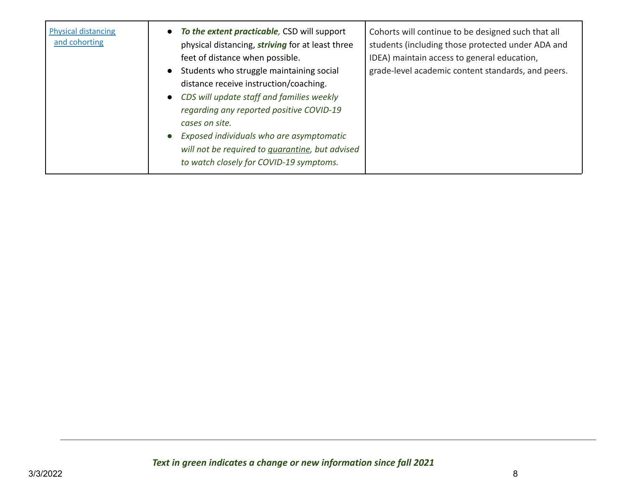| <b>Physical distancing</b><br>and cohorting | To the extent practicable, CSD will support<br>$\bullet$<br>physical distancing, striving for at least three<br>feet of distance when possible.<br>Students who struggle maintaining social<br>$\bullet$<br>distance receive instruction/coaching.<br>CDS will update staff and families weekly<br>$\bullet$<br>regarding any reported positive COVID-19<br>cases on site.<br>Exposed individuals who are asymptomatic<br>$\bullet$<br>will not be required to <i>guarantine</i> , but advised<br>to watch closely for COVID-19 symptoms. | Cohorts will continue to be designed such that all<br>students (including those protected under ADA and<br>IDEA) maintain access to general education,<br>grade-level academic content standards, and peers. |
|---------------------------------------------|-------------------------------------------------------------------------------------------------------------------------------------------------------------------------------------------------------------------------------------------------------------------------------------------------------------------------------------------------------------------------------------------------------------------------------------------------------------------------------------------------------------------------------------------|--------------------------------------------------------------------------------------------------------------------------------------------------------------------------------------------------------------|
|---------------------------------------------|-------------------------------------------------------------------------------------------------------------------------------------------------------------------------------------------------------------------------------------------------------------------------------------------------------------------------------------------------------------------------------------------------------------------------------------------------------------------------------------------------------------------------------------------|--------------------------------------------------------------------------------------------------------------------------------------------------------------------------------------------------------------|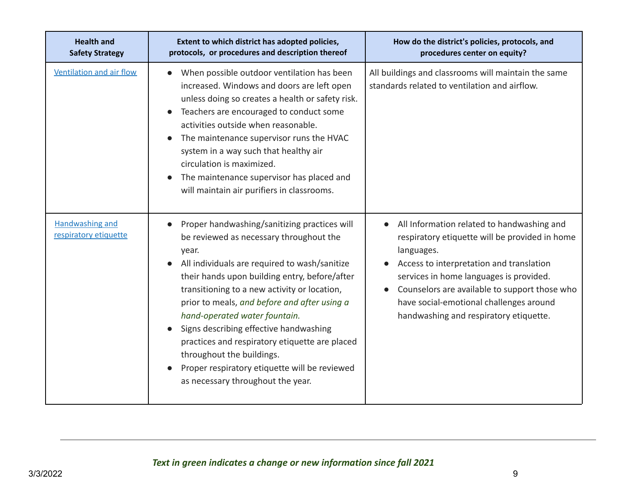| <b>Health and</b><br><b>Safety Strategy</b>     | Extent to which district has adopted policies,<br>protocols, or procedures and description thereof                                                                                                                                                                                                                                                                                                                                                                                                                                                              | How do the district's policies, protocols, and<br>procedures center on equity?                                                                                                                                                                                                                                                                       |
|-------------------------------------------------|-----------------------------------------------------------------------------------------------------------------------------------------------------------------------------------------------------------------------------------------------------------------------------------------------------------------------------------------------------------------------------------------------------------------------------------------------------------------------------------------------------------------------------------------------------------------|------------------------------------------------------------------------------------------------------------------------------------------------------------------------------------------------------------------------------------------------------------------------------------------------------------------------------------------------------|
| <b>Ventilation and air flow</b>                 | When possible outdoor ventilation has been<br>$\bullet$<br>increased. Windows and doors are left open<br>unless doing so creates a health or safety risk.<br>Teachers are encouraged to conduct some<br>activities outside when reasonable.<br>The maintenance supervisor runs the HVAC<br>system in a way such that healthy air<br>circulation is maximized.<br>The maintenance supervisor has placed and<br>will maintain air purifiers in classrooms.                                                                                                        | All buildings and classrooms will maintain the same<br>standards related to ventilation and airflow.                                                                                                                                                                                                                                                 |
| <b>Handwashing and</b><br>respiratory etiquette | Proper handwashing/sanitizing practices will<br>$\bullet$<br>be reviewed as necessary throughout the<br>year.<br>All individuals are required to wash/sanitize<br>their hands upon building entry, before/after<br>transitioning to a new activity or location,<br>prior to meals, and before and after using a<br>hand-operated water fountain.<br>Signs describing effective handwashing<br>practices and respiratory etiquette are placed<br>throughout the buildings.<br>Proper respiratory etiquette will be reviewed<br>as necessary throughout the year. | All Information related to handwashing and<br>$\bullet$<br>respiratory etiquette will be provided in home<br>languages.<br>Access to interpretation and translation<br>services in home languages is provided.<br>Counselors are available to support those who<br>have social-emotional challenges around<br>handwashing and respiratory etiquette. |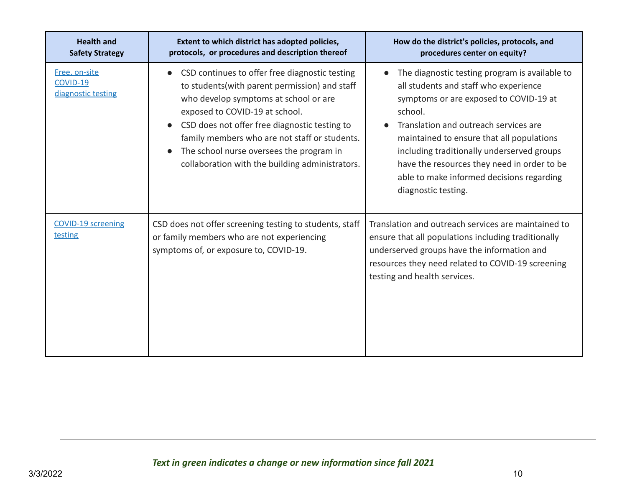| <b>Health and</b><br><b>Safety Strategy</b>     | Extent to which district has adopted policies,<br>protocols, or procedures and description thereof                                                                                                                                                                                                                                                                                                                  | How do the district's policies, protocols, and<br>procedures center on equity?                                                                                                                                                                                                                                                                                                                      |
|-------------------------------------------------|---------------------------------------------------------------------------------------------------------------------------------------------------------------------------------------------------------------------------------------------------------------------------------------------------------------------------------------------------------------------------------------------------------------------|-----------------------------------------------------------------------------------------------------------------------------------------------------------------------------------------------------------------------------------------------------------------------------------------------------------------------------------------------------------------------------------------------------|
| Free, on-site<br>COVID-19<br>diagnostic testing | CSD continues to offer free diagnostic testing<br>$\bullet$<br>to students (with parent permission) and staff<br>who develop symptoms at school or are<br>exposed to COVID-19 at school.<br>CSD does not offer free diagnostic testing to<br>$\bullet$<br>family members who are not staff or students.<br>The school nurse oversees the program in<br>$\bullet$<br>collaboration with the building administrators. | The diagnostic testing program is available to<br>all students and staff who experience<br>symptoms or are exposed to COVID-19 at<br>school.<br>Translation and outreach services are<br>maintained to ensure that all populations<br>including traditionally underserved groups<br>have the resources they need in order to be<br>able to make informed decisions regarding<br>diagnostic testing. |
| <b>COVID-19 screening</b><br>testing            | CSD does not offer screening testing to students, staff<br>or family members who are not experiencing<br>symptoms of, or exposure to, COVID-19.                                                                                                                                                                                                                                                                     | Translation and outreach services are maintained to<br>ensure that all populations including traditionally<br>underserved groups have the information and<br>resources they need related to COVID-19 screening<br>testing and health services.                                                                                                                                                      |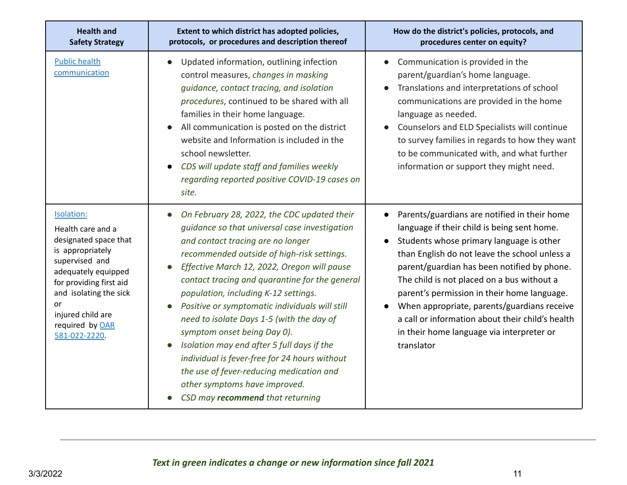| <b>Health and</b><br><b>Safety Strategy</b>                                                                                                                                                                                               | Extent to which district has adopted policies,<br>protocols, or procedures and description thereof                                                                                                                                                                                                                                                                                                                                                                                                                                                                                                                                                                                                                         | How do the district's policies, protocols, and<br>procedures center on equity?                                                                                                                                                                                                                                                                                                                                                                                                                                  |
|-------------------------------------------------------------------------------------------------------------------------------------------------------------------------------------------------------------------------------------------|----------------------------------------------------------------------------------------------------------------------------------------------------------------------------------------------------------------------------------------------------------------------------------------------------------------------------------------------------------------------------------------------------------------------------------------------------------------------------------------------------------------------------------------------------------------------------------------------------------------------------------------------------------------------------------------------------------------------------|-----------------------------------------------------------------------------------------------------------------------------------------------------------------------------------------------------------------------------------------------------------------------------------------------------------------------------------------------------------------------------------------------------------------------------------------------------------------------------------------------------------------|
| <b>Public health</b><br>communication                                                                                                                                                                                                     | Updated information, outlining infection<br>$\bullet$<br>control measures, changes in masking<br>guidance, contact tracing, and isolation<br>procedures, continued to be shared with all<br>families in their home language.<br>All communication is posted on the district<br>$\bullet$<br>website and Information is included in the<br>school newsletter.<br>CDS will update staff and families weekly<br>$\bullet$<br>regarding reported positive COVID-19 cases on<br>site.                                                                                                                                                                                                                                           | Communication is provided in the<br>parent/guardian's home language.<br>Translations and interpretations of school<br>communications are provided in the home<br>language as needed.<br>Counselors and ELD Specialists will continue<br>to survey families in regards to how they want<br>to be communicated with, and what further<br>information or support they might need.                                                                                                                                  |
| Isolation:<br>Health care and a<br>designated space that<br>is appropriately<br>supervised and<br>adequately equipped<br>for providing first aid<br>and isolating the sick<br>or<br>injured child are<br>required by OAR<br>581-022-2220. | On February 28, 2022, the CDC updated their<br>$\bullet$<br>quidance so that universal case investigation<br>and contact tracing are no longer<br>recommended outside of high-risk settings.<br>Effective March 12, 2022, Oregon will pause<br>$\bullet$<br>contact tracing and quarantine for the general<br>population, including K-12 settings.<br>Positive or symptomatic individuals will still<br>$\bullet$<br>need to isolate Days 1-5 (with the day of<br>symptom onset being Day 0).<br>Isolation may end after 5 full days if the<br>$\bullet$<br>individual is fever-free for 24 hours without<br>the use of fever-reducing medication and<br>other symptoms have improved.<br>CSD may recommend that returning | Parents/guardians are notified in their home<br>$\bullet$<br>language if their child is being sent home.<br>Students whose primary language is other<br>than English do not leave the school unless a<br>parent/guardian has been notified by phone.<br>The child is not placed on a bus without a<br>parent's permission in their home language.<br>When appropriate, parents/guardians receive<br>a call or information about their child's health<br>in their home language via interpreter or<br>translator |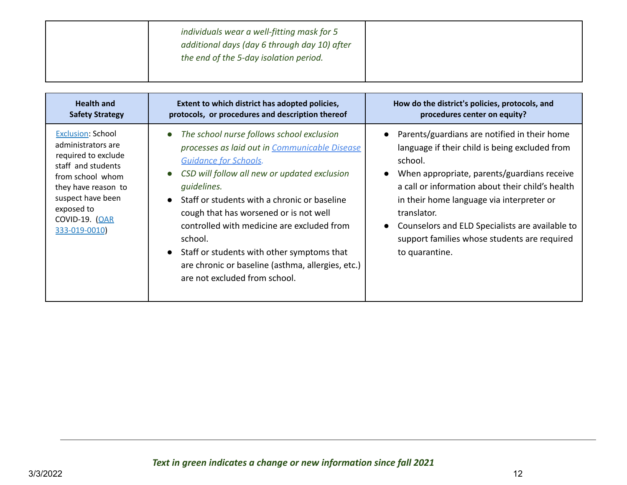| individuals wear a well-fitting mask for 5<br>additional days (day 6 through day 10) after<br>the end of the 5-day isolation period. |  |
|--------------------------------------------------------------------------------------------------------------------------------------|--|
|                                                                                                                                      |  |

| <b>Health and</b>                                                                                                                                                                                                  | Extent to which district has adopted policies,                                                                                                                                                                                                                                                                                                                                                                                                                                                                            | How do the district's policies, protocols, and                                                                                                                                                                                                                                                                                                                                                                            |
|--------------------------------------------------------------------------------------------------------------------------------------------------------------------------------------------------------------------|---------------------------------------------------------------------------------------------------------------------------------------------------------------------------------------------------------------------------------------------------------------------------------------------------------------------------------------------------------------------------------------------------------------------------------------------------------------------------------------------------------------------------|---------------------------------------------------------------------------------------------------------------------------------------------------------------------------------------------------------------------------------------------------------------------------------------------------------------------------------------------------------------------------------------------------------------------------|
| <b>Safety Strategy</b>                                                                                                                                                                                             | protocols, or procedures and description thereof                                                                                                                                                                                                                                                                                                                                                                                                                                                                          | procedures center on equity?                                                                                                                                                                                                                                                                                                                                                                                              |
| <b>Exclusion: School</b><br>administrators are<br>required to exclude<br>staff and students<br>from school whom<br>they have reason to<br>suspect have been<br>exposed to<br><b>COVID-19. (OAR</b><br>333-019-0010 | The school nurse follows school exclusion<br>$\bullet$<br>processes as laid out in Communicable Disease<br><b>Guidance for Schools.</b><br>CSD will follow all new or updated exclusion<br>$\bullet$<br>quidelines.<br>Staff or students with a chronic or baseline<br>$\bullet$<br>cough that has worsened or is not well<br>controlled with medicine are excluded from<br>school.<br>• Staff or students with other symptoms that<br>are chronic or baseline (asthma, allergies, etc.)<br>are not excluded from school. | • Parents/guardians are notified in their home<br>language if their child is being excluded from<br>school.<br>When appropriate, parents/guardians receive<br>$\bullet$<br>a call or information about their child's health<br>in their home language via interpreter or<br>translator.<br>Counselors and ELD Specialists are available to<br>$\bullet$<br>support families whose students are required<br>to quarantine. |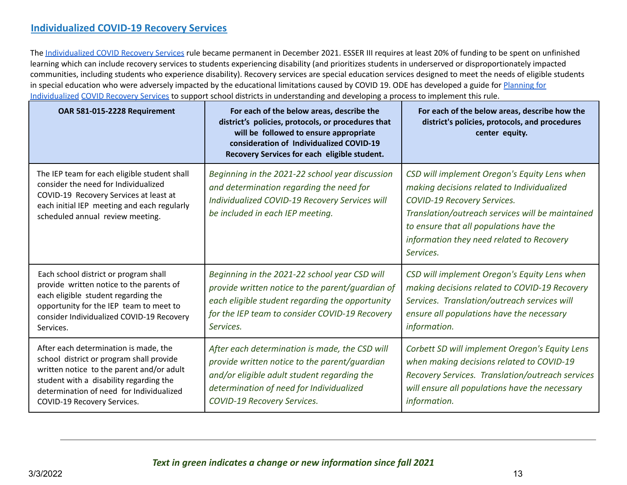## **Individualized COVID-19 Recovery Services**

The Individualized COVID Recovery Services rule became permanent in December 2021. ESSER III requires at least 20% of funding to be spent on unfinished learning which can include recovery services to students experiencing disability (and prioritizes students in underserved or disproportionately impacted communities, including students who experience disability). Recovery services are special education services designed to meet the needs of eligible students in special education who were adversely impacted by the educational limitations caused by COVID 19. ODE has developed a guide for Planning for Individualized COVID Recovery Services to support school districts in understanding and developing a process to implement this rule.

| OAR 581-015-2228 Requirement                                                                                                                                                                                                                         | For each of the below areas, describe the<br>district's policies, protocols, or procedures that<br>will be followed to ensure appropriate<br>consideration of Individualized COVID-19<br>Recovery Services for each eligible student. | For each of the below areas, describe how the<br>district's policies, protocols, and procedures<br>center equity.                                                                                                                                                                  |
|------------------------------------------------------------------------------------------------------------------------------------------------------------------------------------------------------------------------------------------------------|---------------------------------------------------------------------------------------------------------------------------------------------------------------------------------------------------------------------------------------|------------------------------------------------------------------------------------------------------------------------------------------------------------------------------------------------------------------------------------------------------------------------------------|
| The IEP team for each eligible student shall<br>consider the need for Individualized<br>COVID-19 Recovery Services at least at<br>each initial IEP meeting and each regularly<br>scheduled annual review meeting.                                    | Beginning in the 2021-22 school year discussion<br>and determination regarding the need for<br>Individualized COVID-19 Recovery Services will<br>be included in each IEP meeting.                                                     | CSD will implement Oregon's Equity Lens when<br>making decisions related to Individualized<br>COVID-19 Recovery Services.<br>Translation/outreach services will be maintained<br>to ensure that all populations have the<br>information they need related to Recovery<br>Services. |
| Each school district or program shall<br>provide written notice to the parents of<br>each eligible student regarding the<br>opportunity for the IEP team to meet to<br>consider Individualized COVID-19 Recovery<br>Services.                        | Beginning in the 2021-22 school year CSD will<br>provide written notice to the parent/guardian of<br>each eligible student regarding the opportunity<br>for the IEP team to consider COVID-19 Recovery<br>Services.                   | CSD will implement Oregon's Equity Lens when<br>making decisions related to COVID-19 Recovery<br>Services. Translation/outreach services will<br>ensure all populations have the necessary<br>information.                                                                         |
| After each determination is made, the<br>school district or program shall provide<br>written notice to the parent and/or adult<br>student with a disability regarding the<br>determination of need for Individualized<br>COVID-19 Recovery Services. | After each determination is made, the CSD will<br>provide written notice to the parent/guardian<br>and/or eligible adult student regarding the<br>determination of need for Individualized<br>COVID-19 Recovery Services.             | Corbett SD will implement Oregon's Equity Lens<br>when making decisions related to COVID-19<br>Recovery Services. Translation/outreach services<br>will ensure all populations have the necessary<br>information.                                                                  |